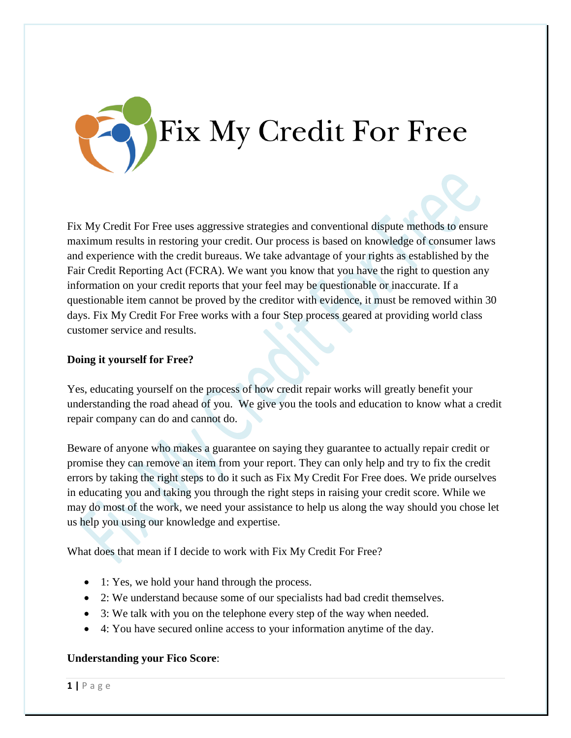

Fix My Credit For Free uses aggressive strategies and conventional dispute methods to ensure maximum results in restoring your credit. Our process is based on knowledge of consumer laws and experience with the credit bureaus. We take advantage of your rights as established by the Fair Credit Reporting Act (FCRA). We want you know that you have the right to question any information on your credit reports that your feel may be questionable or inaccurate. If a questionable item cannot be proved by the creditor with evidence, it must be removed within 30 days. Fix My Credit For Free works with a four Step process geared at providing world class customer service and results.

#### **Doing it yourself for Free?**

Yes, educating yourself on the process of how credit repair works will greatly benefit your understanding the road ahead of you. We give you the tools and education to know what a credit repair company can do and cannot do.

Beware of anyone who makes a guarantee on saying they guarantee to actually repair credit or promise they can remove an item from your report. They can only help and try to fix the credit errors by taking the right steps to do it such as Fix My Credit For Free does. We pride ourselves in educating you and taking you through the right steps in raising your credit score. While we may do most of the work, we need your assistance to help us along the way should you chose let us help you using our knowledge and expertise.

What does that mean if I decide to work with Fix My Credit For Free?

- 1: Yes, we hold your hand through the process.
- 2: We understand because some of our specialists had bad credit themselves.
- 3: We talk with you on the telephone every step of the way when needed.
- 4: You have secured online access to your information anytime of the day.

## **Understanding your Fico Score**: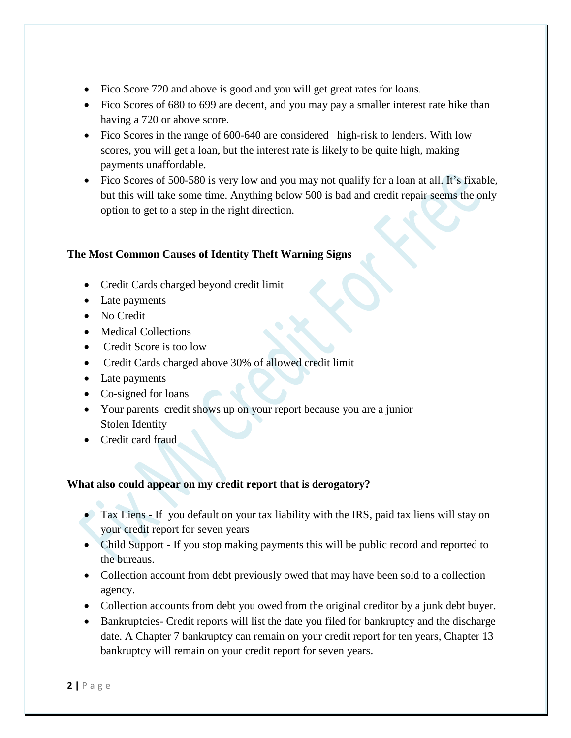- Fico Score 720 and above is good and you will get great rates for loans.
- Fico Scores of 680 to 699 are decent, and you may pay a smaller interest rate hike than having a 720 or above score.
- Fico Scores in the range of 600-640 are considered high-risk to lenders. With low scores, you will get a loan, but the interest rate is likely to be quite high, making payments unaffordable.
- Fico Scores of 500-580 is very low and you may not qualify for a loan at all. It's fixable, but this will take some time. Anything below 500 is bad and credit repair seems the only option to get to a step in the right direction.

# **The Most Common Causes of Identity Theft Warning Signs**

- Credit Cards charged beyond credit limit
- Late payments
- No Credit
- Medical Collections
- Credit Score is too low
- Credit Cards charged above 30% of allowed credit limit
- Late payments
- Co-signed for loans
- Your parents credit shows up on your report because you are a junior Stolen Identity
- Credit card fraud

# **What also could appear on my credit report that is derogatory?**

- Tax Liens If you default on your tax liability with the IRS, paid tax liens will stay on your credit report for seven years
- Child Support If you stop making payments this will be public record and reported to the bureaus.
- Collection account from debt previously owed that may have been sold to a collection agency.
- Collection accounts from debt you owed from the original creditor by a junk debt buyer.
- Bankruptcies- Credit reports will list the date you filed for bankruptcy and the discharge date. A Chapter 7 bankruptcy can remain on your credit report for ten years, Chapter 13 bankruptcy will remain on your credit report for seven years.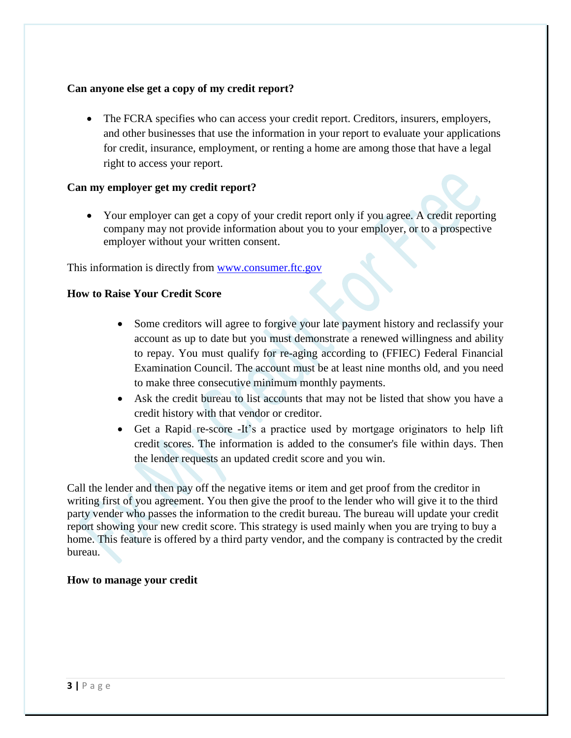## **Can anyone else get a copy of my credit report?**

 The FCRA specifies who can access your credit report. Creditors, insurers, employers, and other businesses that use the information in your report to evaluate your applications for credit, insurance, employment, or renting a home are among those that have a legal right to access your report.

#### **Can my employer get my credit report?**

 Your employer can get a copy of your credit report only if you agree. A credit reporting company may not provide information about you to your employer, or to a prospective employer without your written consent.

This information is directly from [www.consumer.ftc.gov](http://www.consumer.ftc.gov/)

## **How to Raise Your Credit Score**

- Some creditors will agree to forgive your late payment history and reclassify your account as up to date but you must demonstrate a renewed willingness and ability to repay. You must qualify for re-aging according to (FFIEC) Federal Financial Examination Council. The account must be at least nine months old, and you need to make three consecutive minimum monthly payments.
- Ask the credit bureau to list accounts that may not be listed that show you have a credit history with that vendor or creditor.
- Get a Rapid re-score -It's a practice used by mortgage originators to help lift credit scores. The information is added to the consumer's file within days. Then the lender requests an updated credit score and you win.

Call the lender and then pay off the negative items or item and get proof from the creditor in writing first of you agreement. You then give the proof to the lender who will give it to the third party vender who passes the information to the credit bureau. The bureau will update your credit report showing your new credit score. This strategy is used mainly when you are trying to buy a home. This feature is offered by a third party vendor, and the company is contracted by the credit bureau.

#### **How to manage your credit**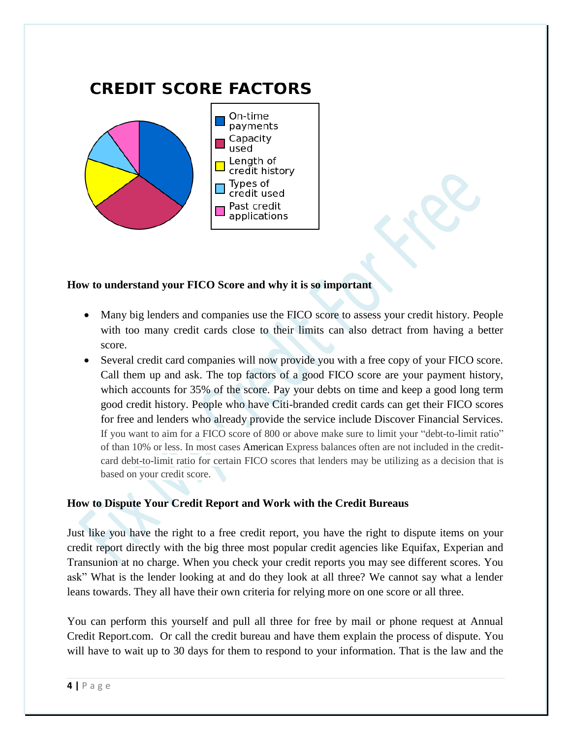

## **How to understand your FICO Score and why it is so important**

- Many big lenders and companies use the FICO score to assess your credit history. People with too many credit cards close to their limits can also detract from having a better score.
- Several credit card companies will now provide you with a free copy of your FICO score. Call them up and ask. The top factors of a good FICO score are your payment history, which accounts for 35% of the score. Pay your debts on time and keep a good long term good credit history. People who have Citi-branded credit cards can get their FICO scores for free and lenders who already provide the service include Discover Financial Services. If you want to aim for a FICO score of 800 or above make sure to limit your "debt-to-limit ratio" of than 10% or less. In most cases American Express balances often are not included in the creditcard debt-to-limit ratio for certain FICO scores that lenders may be utilizing as a decision that is based on your credit score.

## **How to Dispute Your Credit Report and Work with the Credit Bureaus**

Just like you have the right to a free credit report, you have the right to dispute items on your credit report directly with the big three most popular credit agencies like Equifax, Experian and Transunion at no charge. When you check your credit reports you may see different scores. You ask" What is the lender looking at and do they look at all three? We cannot say what a lender leans towards. They all have their own criteria for relying more on one score or all three.

You can perform this yourself and pull all three for free by mail or phone request at Annual Credit Report.com. Or call the credit bureau and have them explain the process of dispute. You will have to wait up to 30 days for them to respond to your information. That is the law and the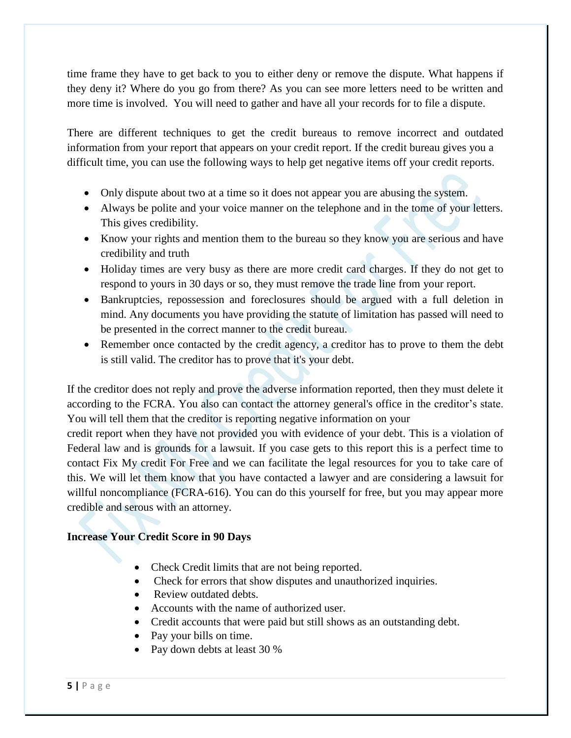time frame they have to get back to you to either deny or remove the dispute. What happens if they deny it? Where do you go from there? As you can see more letters need to be written and more time is involved. You will need to gather and have all your records for to file a dispute.

There are different techniques to get the credit bureaus to remove incorrect and outdated information from your report that appears on your credit report. If the credit bureau gives you a difficult time, you can use the following ways to help get negative items off your credit reports.

- Only dispute about two at a time so it does not appear you are abusing the system.
- Always be polite and your voice manner on the telephone and in the tome of your letters. This gives credibility.
- Know your rights and mention them to the bureau so they know you are serious and have credibility and truth
- Holiday times are very busy as there are more credit card charges. If they do not get to respond to yours in 30 days or so, they must remove the trade line from your report.
- Bankruptcies, repossession and foreclosures should be argued with a full deletion in mind. Any documents you have providing the statute of limitation has passed will need to be presented in the correct manner to the credit bureau.
- Remember once contacted by the credit agency, a creditor has to prove to them the debt is still valid. The creditor has to prove that it's your debt.

If the creditor does not reply and prove the adverse information reported, then they must delete it according to the FCRA. You also can contact the attorney general's office in the creditor's state. You will tell them that the creditor is reporting negative information on your

credit report when they have not provided you with evidence of your debt. This is a violation of Federal law and is grounds for a lawsuit. If you case gets to this report this is a perfect time to contact Fix My credit For Free and we can facilitate the legal resources for you to take care of this. We will let them know that you have contacted a lawyer and are considering a lawsuit for willful noncompliance (FCRA-616). You can do this yourself for free, but you may appear more credible and serous with an attorney.

## **Increase Your Credit Score in 90 Days**

- Check Credit limits that are not being reported.
- Check for errors that show disputes and unauthorized inquiries.
- Review outdated debts.
- Accounts with the name of authorized user.
- Credit accounts that were paid but still shows as an outstanding debt.
- Pay your bills on time.
- Pay down debts at least 30 %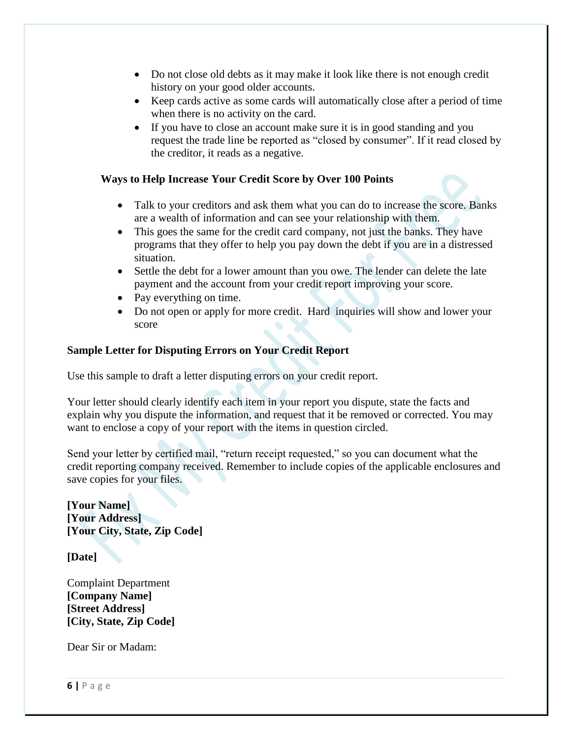- Do not close old debts as it may make it look like there is not enough credit history on your good older accounts.
- Keep cards active as some cards will automatically close after a period of time when there is no activity on the card.
- If you have to close an account make sure it is in good standing and you request the trade line be reported as "closed by consumer". If it read closed by the creditor, it reads as a negative.

#### **Ways to Help Increase Your Credit Score by Over 100 Points**

- Talk to your creditors and ask them what you can do to increase the score. Banks are a wealth of information and can see your relationship with them.
- This goes the same for the credit card company, not just the banks. They have programs that they offer to help you pay down the debt if you are in a distressed situation.
- Settle the debt for a lower amount than you owe. The lender can delete the late payment and the account from your credit report improving your score.
- Pay everything on time.
- Do not open or apply for more credit. Hard inquiries will show and lower your score

## **Sample Letter for Disputing Errors on Your Credit Report**

Use this sample to draft a letter disputing errors on your credit report.

Your letter should clearly identify each item in your report you dispute, state the facts and explain why you dispute the information, and request that it be removed or corrected. You may want to enclose a copy of your report with the items in question circled.

Send your letter by certified mail, "return receipt requested," so you can document what the credit reporting company received. Remember to include copies of the applicable enclosures and save copies for your files.

**[Your Name] [Your Address] [Your City, State, Zip Code]**

**[Date]**

Complaint Department **[Company Name] [Street Address] [City, State, Zip Code]**

Dear Sir or Madam: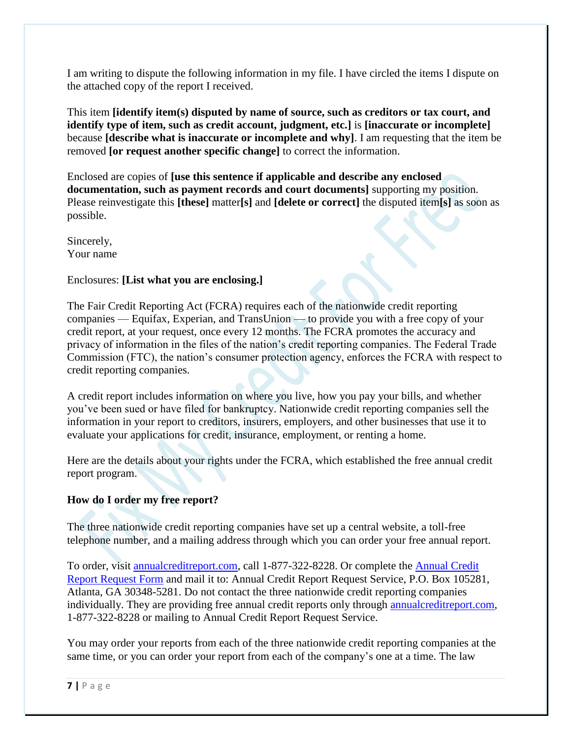I am writing to dispute the following information in my file. I have circled the items I dispute on the attached copy of the report I received.

This item **[identify item(s) disputed by name of source, such as creditors or tax court, and identify type of item, such as credit account, judgment, etc.]** is **[inaccurate or incomplete]**  because **[describe what is inaccurate or incomplete and why]**. I am requesting that the item be removed **[or request another specific change]** to correct the information.

Enclosed are copies of **[use this sentence if applicable and describe any enclosed documentation, such as payment records and court documents]** supporting my position. Please reinvestigate this **[these]** matter**[s]** and **[delete or correct]** the disputed item**[s]** as soon as possible.

Sincerely, Your name

## Enclosures: **[List what you are enclosing.]**

The Fair Credit Reporting Act (FCRA) requires each of the nationwide credit reporting companies — Equifax, Experian, and TransUnion — to provide you with a free copy of your credit report, at your request, once every 12 months. The FCRA promotes the accuracy and privacy of information in the files of the nation's credit reporting companies. The Federal Trade Commission (FTC), the nation's consumer protection agency, enforces the FCRA with respect to credit reporting companies.

A credit report includes information on where you live, how you pay your bills, and whether you've been sued or have filed for bankruptcy. Nationwide credit reporting companies sell the information in your report to creditors, insurers, employers, and other businesses that use it to evaluate your applications for credit, insurance, employment, or renting a home.

Here are the details about your rights under the FCRA, which established the free annual credit report program.

# **How do I order my free report?**

The three nationwide credit reporting companies have set up a central website, a toll-free telephone number, and a mailing address through which you can order your free annual report.

To order, visit [annualcreditreport.com,](http://www.annualcreditreport.com/) call 1-877-322-8228. Or complete the [Annual Credit](http://www.consumer.ftc.gov/articles/pdf-0093-annual-report-request-form.pdf)  [Report Request Form](http://www.consumer.ftc.gov/articles/pdf-0093-annual-report-request-form.pdf) and mail it to: Annual Credit Report Request Service, P.O. Box 105281, Atlanta, GA 30348-5281. Do not contact the three nationwide credit reporting companies individually. They are providing free annual credit reports only through [annualcreditreport.com,](http://www.annualcreditreport.com/) 1-877-322-8228 or mailing to Annual Credit Report Request Service.

You may order your reports from each of the three nationwide credit reporting companies at the same time, or you can order your report from each of the company's one at a time. The law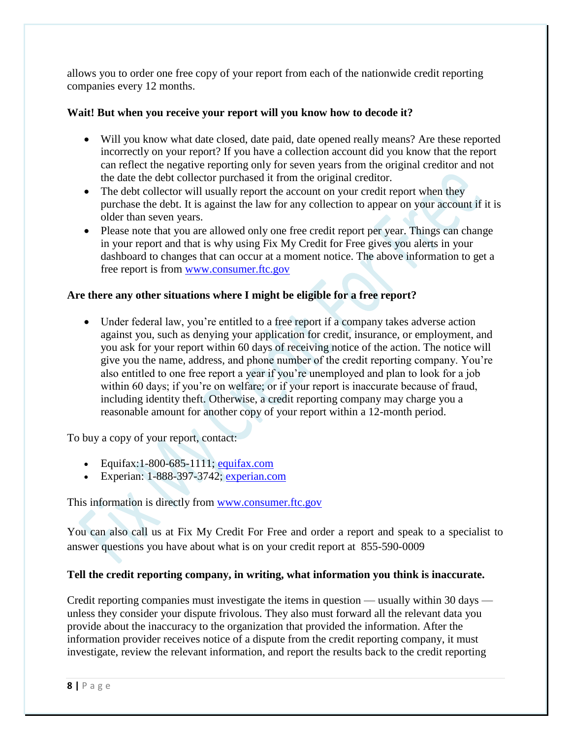allows you to order one free copy of your report from each of the nationwide credit reporting companies every 12 months.

## **Wait! But when you receive your report will you know how to decode it?**

- Will you know what date closed, date paid, date opened really means? Are these reported incorrectly on your report? If you have a collection account did you know that the report can reflect the negative reporting only for seven years from the original creditor and not the date the debt collector purchased it from the original creditor.
- The debt collector will usually report the account on your credit report when they purchase the debt. It is against the law for any collection to appear on your account if it is older than seven years.
- Please note that you are allowed only one free credit report per year. Things can change in your report and that is why using Fix My Credit for Free gives you alerts in your dashboard to changes that can occur at a moment notice. The above information to get a free report is from [www.consumer.ftc.gov](http://www.consumer.ftc.gov/)

## **Are there any other situations where I might be eligible for a free report?**

 Under federal law, you're entitled to a free report if a company takes adverse action against you, such as denying your application for credit, insurance, or employment, and you ask for your report within 60 days of receiving notice of the action. The notice will give you the name, address, and phone number of the credit reporting company. You're also entitled to one free report a year if you're unemployed and plan to look for a job within 60 days; if you're on welfare; or if your report is inaccurate because of fraud, including identity theft. Otherwise, a credit reporting company may charge you a reasonable amount for another copy of your report within a 12-month period.

To buy a copy of your report, contact:

- Equifax:  $1-800-685-1111$ ; [equifax.com](http://www.equifax.com/)
- Experian: 1-888-397-3742; [experian.com](http://www.experian.com/)

## This information is directly from [www.consumer.ftc.gov](http://www.consumer.ftc.gov/)

You can also call us at Fix My Credit For Free and order a report and speak to a specialist to answer questions you have about what is on your credit report at 855-590-0009

#### **Tell the credit reporting company, in writing, what information you think is inaccurate.**

Credit reporting companies must investigate the items in question — usually within 30 days unless they consider your dispute frivolous. They also must forward all the relevant data you provide about the inaccuracy to the organization that provided the information. After the information provider receives notice of a dispute from the credit reporting company, it must investigate, review the relevant information, and report the results back to the credit reporting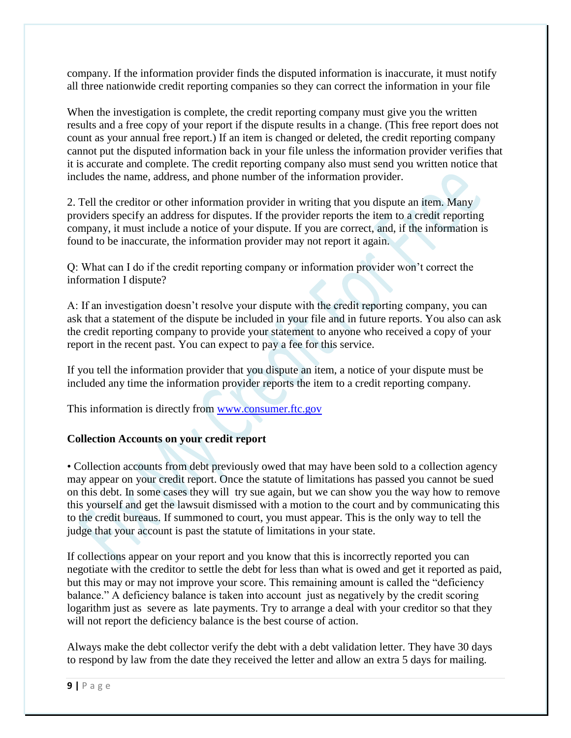company. If the information provider finds the disputed information is inaccurate, it must notify all three nationwide credit reporting companies so they can correct the information in your file

When the investigation is complete, the credit reporting company must give you the written results and a free copy of your report if the dispute results in a change. (This free report does not count as your annual free report.) If an item is changed or deleted, the credit reporting company cannot put the disputed information back in your file unless the information provider verifies that it is accurate and complete. The credit reporting company also must send you written notice that includes the name, address, and phone number of the information provider.

2. Tell the creditor or other information provider in writing that you dispute an item. Many providers specify an address for disputes. If the provider reports the item to a credit reporting company, it must include a notice of your dispute. If you are correct, and, if the information is found to be inaccurate, the information provider may not report it again.

Q: What can I do if the credit reporting company or information provider won't correct the information I dispute?

A: If an investigation doesn't resolve your dispute with the credit reporting company, you can ask that a statement of the dispute be included in your file and in future reports. You also can ask the credit reporting company to provide your statement to anyone who received a copy of your report in the recent past. You can expect to pay a fee for this service.

If you tell the information provider that you dispute an item, a notice of your dispute must be included any time the information provider reports the item to a credit reporting company.

This information is directly from [www.consumer.ftc.gov](http://www.consumer.ftc.gov/)

# **Collection Accounts on your credit report**

• Collection accounts from debt previously owed that may have been sold to a collection agency may appear on your credit report. Once the statute of limitations has passed you cannot be sued on this debt. In some cases they will try sue again, but we can show you the way how to remove this yourself and get the lawsuit dismissed with a motion to the court and by communicating this to the credit bureaus. If summoned to court, you must appear. This is the only way to tell the judge that your account is past the statute of limitations in your state.

If collections appear on your report and you know that this is incorrectly reported you can negotiate with the creditor to settle the debt for less than what is owed and get it reported as paid, but this may or may not improve your score. This remaining amount is called the "deficiency balance." A deficiency balance is taken into account just as negatively by the credit scoring logarithm just as severe as late payments. Try to arrange a deal with your creditor so that they will not report the deficiency balance is the best course of action.

Always make the debt collector verify the debt with a debt validation letter. They have 30 days to respond by law from the date they received the letter and allow an extra 5 days for mailing.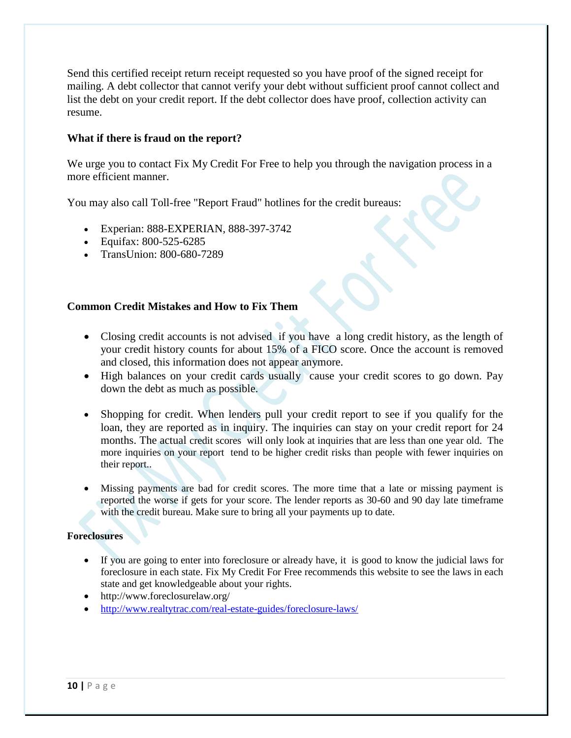Send this certified receipt return receipt requested so you have proof of the signed receipt for mailing. A debt collector that cannot verify your debt without sufficient proof cannot collect and list the debt on your credit report. If the debt collector does have proof, collection activity can resume.

## **What if there is fraud on the report?**

We urge you to contact Fix My Credit For Free to help you through the navigation process in a more efficient manner.

You may also call Toll-free "Report Fraud" hotlines for the credit bureaus:

- Experian: 888-EXPERIAN, 888-397-3742
- Equifax: 800-525-6285
- TransUnion: 800-680-7289

## **Common Credit Mistakes and How to Fix Them**

- Closing credit accounts is not advised if you have a long credit history, as the length of your credit history counts for about 15% of a FICO score. Once the account is removed and closed, this information does not appear anymore.
- High balances on your credit cards usually cause your credit scores to go down. Pay down the debt as much as possible.
- Shopping for credit. When lenders pull your credit report to see if you qualify for the loan, they are reported as in inquiry. The inquiries can stay on your credit report for 24 months. The actual credit scores will only look at inquiries that are less than one year old. The more inquiries on your report tend to be higher credit risks than people with fewer inquiries on their report..
- Missing payments are bad for credit scores. The more time that a late or missing payment is reported the worse if gets for your score. The lender reports as 30-60 and 90 day late timeframe with the credit bureau. Make sure to bring all your payments up to date.

#### **Foreclosures**

- If you are going to enter into foreclosure or already have, it is good to know the judicial laws for foreclosure in each state. Fix My Credit For Free recommends this website to see the laws in each state and get knowledgeable about your rights.
- http://www.foreclosurelaw.org/
- <http://www.realtytrac.com/real-estate-guides/foreclosure-laws/>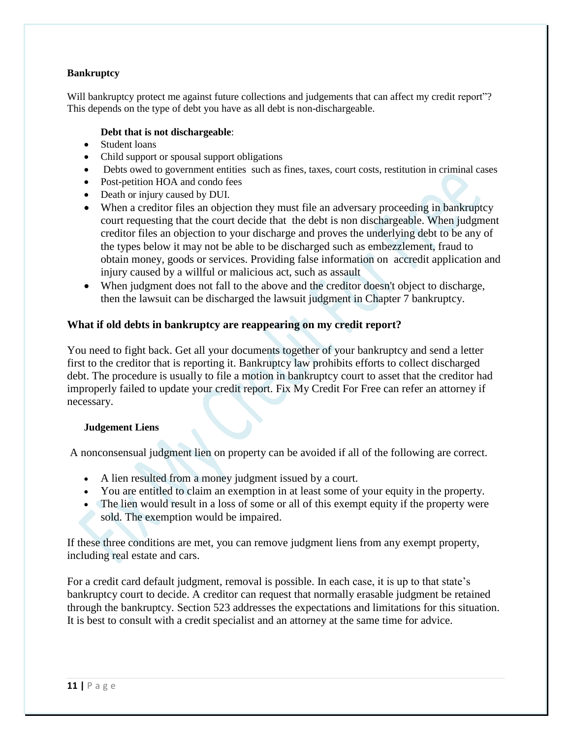#### **Bankruptcy**

Will bankruptcy protect me against future collections and judgements that can affect my credit report"? This depends on the type of debt you have as all debt is non-dischargeable.

#### **Debt that is not dischargeable**:

- Student loans
- Child support or spousal support obligations
- Debts owed to government entities such as fines, taxes, court costs, restitution in criminal cases
- Post-petition HOA and condo fees
- Death or injury caused by DUI.
- When a creditor files an objection they must file an adversary proceeding in bankruptcy court requesting that the court decide that the debt is non dischargeable. When judgment creditor files an objection to your discharge and proves the underlying debt to be any of the types below it may not be able to be discharged such as embezzlement, fraud to obtain money, goods or services. Providing false information on accredit application and injury caused by a willful or malicious act, such as assault
- When judgment does not fall to the above and the creditor doesn't object to discharge, then the lawsuit can be discharged the lawsuit judgment in Chapter 7 bankruptcy.

## **What if old debts in bankruptcy are reappearing on my credit report?**

You need to fight back. Get all your documents together of your bankruptcy and send a letter first to the creditor that is reporting it. Bankruptcy law prohibits efforts to collect discharged debt. The procedure is usually to file a motion in bankruptcy court to asset that the creditor had improperly failed to update your credit report. Fix My Credit For Free can refer an attorney if necessary.

#### **Judgement Liens**

A nonconsensual judgment lien on property can be avoided if all of the following are correct.

- A lien resulted from a money judgment issued by a court.
- You are entitled to claim an exemption in at least some of your equity in the property.
- The lien would result in a loss of some or all of this exempt equity if the property were sold. The exemption would be impaired.

If these three conditions are met, you can remove judgment liens from any exempt property, including real estate and cars.

For a credit card default judgment, removal is possible. In each case, it is up to that state's bankruptcy court to decide. A creditor can request that normally erasable judgment be retained through the bankruptcy. Section 523 addresses the expectations and limitations for this situation. It is best to consult with a credit specialist and an attorney at the same time for advice.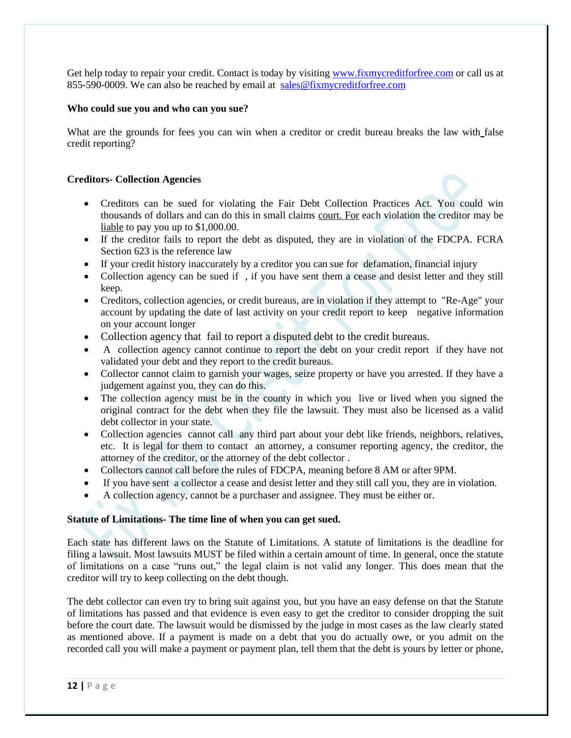Get help today to repair your credit. Contact is today by visiting [www.fixmycreditforfree.com](http://www.fixmycreditforfree.com/) or call us at 855-590-0009. We can also be reached by email at [sales@fixmycreditforfree.com](mailto:sales@fixmycreditforfree.com)

#### **Who could sue you and who can you sue?**

What are the grounds for fees you can win when a creditor or credit bureau breaks the law with false credit reporting?

#### **Creditors- Collection Agencies**

- Creditors can be sued for violating the Fair Debt Collection Practices Act. You could win thousands of dollars and can do this in small claims court. For each violation the creditor may be liable to pay you up to \$1,000.00.
- If the creditor fails to report the debt as disputed, they are in violation of the FDCPA. FCRA Section 623 is the reference law
- If your credit history inaccurately by a creditor you can sue for defamation, financial injury
- Collection agency can be sued if, if you have sent them a cease and desist letter and they still keep.
- Creditors, collection agencies, or credit bureaus, are in violation if they attempt to "Re-Age" your account by updating the date of last activity on your credit report to keep negative information on your account longer
- Collection agency that fail to report a disputed debt to the credit bureaus.
- A collection agency cannot continue to report the debt on your credit report if they have not validated your debt and they report to the credit bureaus.
- Collector cannot claim to garnish your wages, seize property or have you arrested. If they have a judgement against you, they can do this.
- The collection agency must be in the county in which you live or lived when you signed the original contract for the debt when they file the lawsuit. They must also be licensed as a valid debt collector in your state.
- Collection agencies cannot call any third part about your debt like friends, neighbors, relatives, etc. It is legal for them to contact an attorney, a consumer reporting agency, the creditor, the attorney of the creditor, or the attorney of the debt collector .
- Collectors cannot call before the rules of FDCPA, meaning before 8 AM or after 9PM.
- If you have sent a collector a cease and desist letter and they still call you, they are in violation.
- A collection agency, cannot be a purchaser and assignee. They must be either or.

#### **Statute of Limitations- The time line of when you can get sued.**

Each state has different laws on the Statute of Limitations. A statute of limitations is the deadline for filing a lawsuit. Most lawsuits MUST be filed within a certain amount of time. In general, once the statute of limitations on a case "runs out," the legal claim is not valid any longer. This does mean that the creditor will try to keep collecting on the debt though.

The debt collector can even try to bring suit against you, but you have an easy defense on that the Statute of limitations has passed and that evidence is even easy to get the creditor to consider dropping the suit before the court date. The lawsuit would be dismissed by the judge in most cases as the law clearly stated as mentioned above. If a payment is made on a debt that you do actually owe, or you admit on the recorded call you will make a payment or payment plan, tell them that the debt is yours by letter or phone,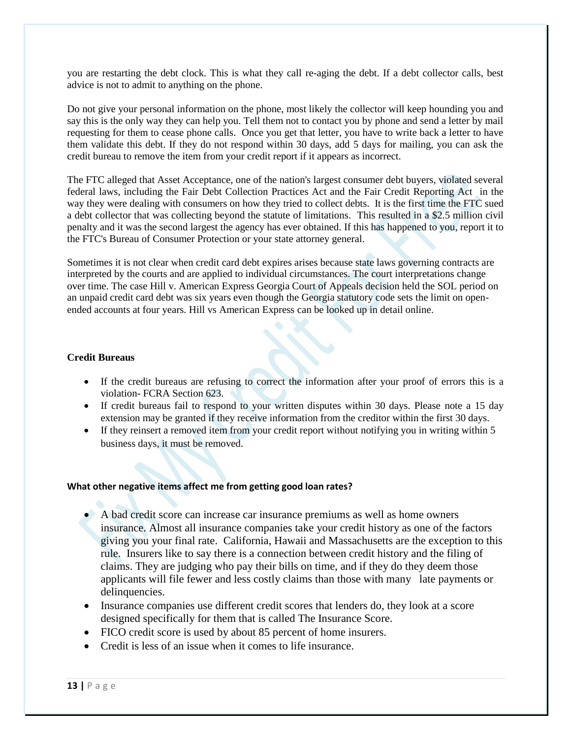you are restarting the debt clock. This is what they call re-aging the debt. If a debt collector calls, best advice is not to admit to anything on the phone.

Do not give your personal information on the phone, most likely the collector will keep hounding you and say this is the only way they can help you. Tell them not to contact you by phone and send a letter by mail requesting for them to cease phone calls. Once you get that letter, you have to write back a letter to have them validate this debt. If they do not respond within 30 days, add 5 days for mailing, you can ask the credit bureau to remove the item from your credit report if it appears as incorrect.

The FTC alleged that Asset Acceptance, one of the nation's largest consumer debt buyers, violated several federal laws, including the Fair Debt Collection Practices Act and the Fair Credit Reporting Act in the way they were dealing with consumers on how they tried to collect debts. It is the first time the FTC sued a debt collector that was collecting beyond the statute of limitations. This resulted in a \$2.5 million civil penalty and it was the second largest the agency has ever obtained. If this has happened to you, report it to the FTC's Bureau of Consumer Protection or your state attorney general.

Sometimes it is not clear when credit card debt expires arises because state laws governing contracts are interpreted by the courts and are applied to individual circumstances. The court interpretations change over time. The case Hill v. American Express Georgia Court of Appeals decision held the SOL period on an unpaid credit card debt was six years even though the Georgia statutory code sets the limit on openended accounts at four years. Hill vs American Express can be looked up in detail online.

#### **Credit Bureaus**

- If the credit bureaus are refusing to correct the information after your proof of errors this is a violation- FCRA Section 623.
- If credit bureaus fail to respond to your written disputes within 30 days. Please note a 15 day extension may be granted if they receive information from the creditor within the first 30 days.
- If they reinsert a removed item from your credit report without notifying you in writing within 5 business days, it must be removed.

#### **What other negative items affect me from getting good loan rates?**

- A bad credit score can increase car insurance premiums as well as home owners insurance. Almost all insurance companies take your credit history as one of the factors giving you your final rate. California, Hawaii and Massachusetts are the exception to this rule. Insurers like to say there is a connection between credit history and the filing of claims. They are judging who pay their bills on time, and if they do they deem those applicants will file fewer and less costly claims than those with many late payments or delinquencies.
- Insurance companies use different credit scores that lenders do, they look at a score designed specifically for them that is called The Insurance Score.
- FICO credit score is used by about 85 percent of home insurers.
- Credit is less of an issue when it comes to life insurance.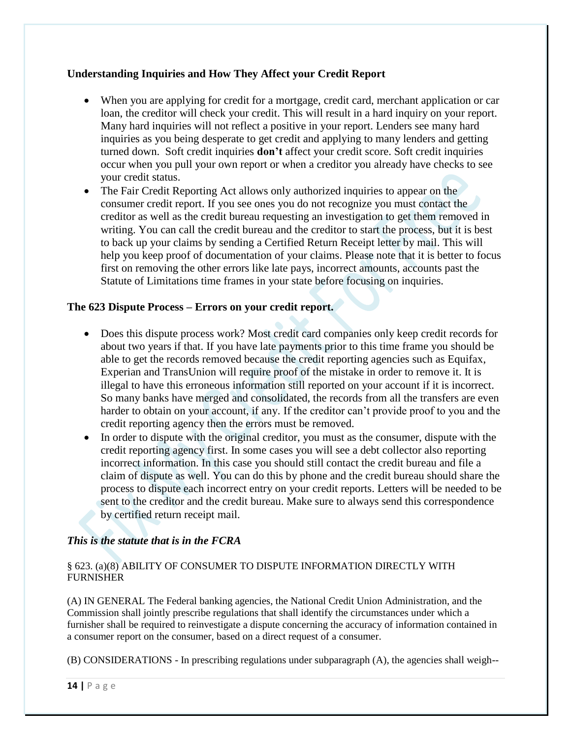## **Understanding Inquiries and How They Affect your Credit Report**

- When you are applying for credit for a mortgage, credit card, merchant application or car loan, the creditor will check your credit. This will result in a hard inquiry on your report. Many hard inquiries will not reflect a positive in your report. Lenders see many hard inquiries as you being desperate to get credit and applying to many lenders and getting turned down. Soft credit inquiries **don't** affect your credit score. Soft credit inquiries occur when you pull your own report or when a creditor you already have checks to see your credit status.
- The Fair Credit Reporting Act allows only authorized inquiries to appear on the consumer credit report. If you see ones you do not recognize you must contact the creditor as well as the credit bureau requesting an investigation to get them removed in writing. You can call the credit bureau and the creditor to start the process, but it is best to back up your claims by sending a Certified Return Receipt letter by mail. This will help you keep proof of documentation of your claims. Please note that it is better to focus first on removing the other errors like late pays, incorrect amounts, accounts past the Statute of Limitations time frames in your state before focusing on inquiries.

#### **The 623 Dispute Process – Errors on your credit report.**

- Does this dispute process work? Most credit card companies only keep credit records for about two years if that. If you have late payments prior to this time frame you should be able to get the records removed because the credit reporting agencies such as Equifax, Experian and TransUnion will require proof of the mistake in order to remove it. It is illegal to have this erroneous information still reported on your account if it is incorrect. So many banks have merged and consolidated, the records from all the transfers are even harder to obtain on your account, if any. If the creditor can't provide proof to you and the credit reporting agency then the errors must be removed.
- In order to dispute with the original creditor, you must as the consumer, dispute with the credit reporting agency first. In some cases you will see a debt collector also reporting incorrect information. In this case you should still contact the credit bureau and file a claim of dispute as well. You can do this by phone and the credit bureau should share the process to dispute each incorrect entry on your credit reports. Letters will be needed to be sent to the creditor and the credit bureau. Make sure to always send this correspondence by certified return receipt mail.

## *This is the statute that is in the FCRA*

#### § 623. (a)(8) ABILITY OF CONSUMER TO DISPUTE INFORMATION DIRECTLY WITH FURNISHER

(A) IN GENERAL The Federal banking agencies, the National Credit Union Administration, and the Commission shall jointly prescribe regulations that shall identify the circumstances under which a furnisher shall be required to reinvestigate a dispute concerning the accuracy of information contained in a consumer report on the consumer, based on a direct request of a consumer.

(B) CONSIDERATIONS - In prescribing regulations under subparagraph (A), the agencies shall weigh--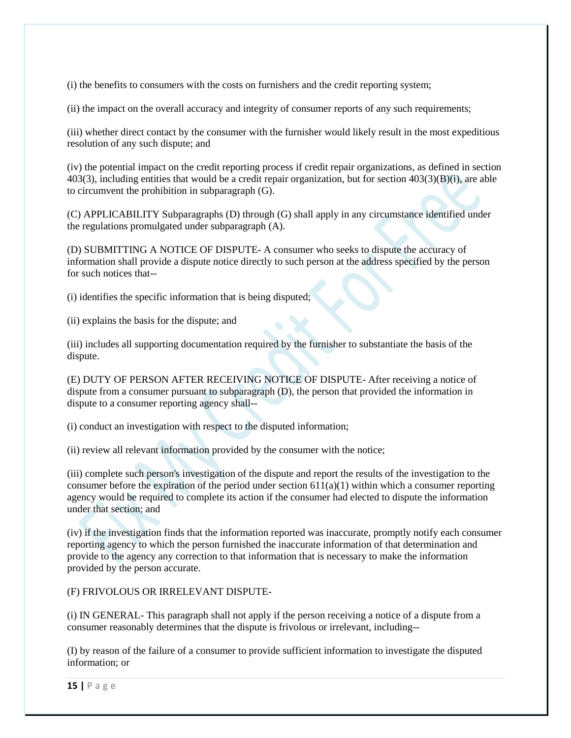(i) the benefits to consumers with the costs on furnishers and the credit reporting system;

(ii) the impact on the overall accuracy and integrity of consumer reports of any such requirements;

(iii) whether direct contact by the consumer with the furnisher would likely result in the most expeditious resolution of any such dispute; and

(iv) the potential impact on the credit reporting process if credit repair organizations, as defined in section 403(3), including entities that would be a credit repair organization, but for section 403(3)(B)(i), are able to circumvent the prohibition in subparagraph (G).

(C) APPLICABILITY Subparagraphs (D) through (G) shall apply in any circumstance identified under the regulations promulgated under subparagraph (A).

(D) SUBMITTING A NOTICE OF DISPUTE- A consumer who seeks to dispute the accuracy of information shall provide a dispute notice directly to such person at the address specified by the person for such notices that--

(i) identifies the specific information that is being disputed;

(ii) explains the basis for the dispute; and

(iii) includes all supporting documentation required by the furnisher to substantiate the basis of the dispute.

(E) DUTY OF PERSON AFTER RECEIVING NOTICE OF DISPUTE- After receiving a notice of dispute from a consumer pursuant to subparagraph (D), the person that provided the information in dispute to a consumer reporting agency shall--

(i) conduct an investigation with respect to the disputed information;

(ii) review all relevant information provided by the consumer with the notice;

(iii) complete such person's investigation of the dispute and report the results of the investigation to the consumer before the expiration of the period under section  $611(a)(1)$  within which a consumer reporting agency would be required to complete its action if the consumer had elected to dispute the information under that section; and

(iv) if the investigation finds that the information reported was inaccurate, promptly notify each consumer reporting agency to which the person furnished the inaccurate information of that determination and provide to the agency any correction to that information that is necessary to make the information provided by the person accurate.

(F) FRIVOLOUS OR IRRELEVANT DISPUTE-

(i) IN GENERAL- This paragraph shall not apply if the person receiving a notice of a dispute from a consumer reasonably determines that the dispute is frivolous or irrelevant, including--

(I) by reason of the failure of a consumer to provide sufficient information to investigate the disputed information; or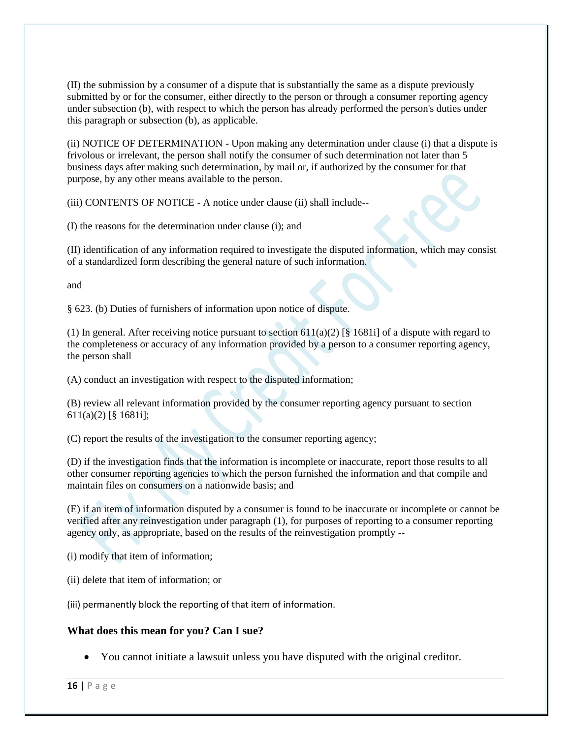(II) the submission by a consumer of a dispute that is substantially the same as a dispute previously submitted by or for the consumer, either directly to the person or through a consumer reporting agency under subsection (b), with respect to which the person has already performed the person's duties under this paragraph or subsection (b), as applicable.

(ii) NOTICE OF DETERMINATION - Upon making any determination under clause (i) that a dispute is frivolous or irrelevant, the person shall notify the consumer of such determination not later than 5 business days after making such determination, by mail or, if authorized by the consumer for that purpose, by any other means available to the person.

(iii) CONTENTS OF NOTICE - A notice under clause (ii) shall include--

(I) the reasons for the determination under clause (i); and

(II) identification of any information required to investigate the disputed information, which may consist of a standardized form describing the general nature of such information.

and

§ 623. (b) Duties of furnishers of information upon notice of dispute.

(1) In general. After receiving notice pursuant to section  $611(a)(2)$  [§ 1681i] of a dispute with regard to the completeness or accuracy of any information provided by a person to a consumer reporting agency, the person shall

(A) conduct an investigation with respect to the disputed information;

(B) review all relevant information provided by the consumer reporting agency pursuant to section 611(a)(2) [§ 1681i];

(C) report the results of the investigation to the consumer reporting agency;

(D) if the investigation finds that the information is incomplete or inaccurate, report those results to all other consumer reporting agencies to which the person furnished the information and that compile and maintain files on consumers on a nationwide basis; and

(E) if an item of information disputed by a consumer is found to be inaccurate or incomplete or cannot be verified after any reinvestigation under paragraph (1), for purposes of reporting to a consumer reporting agency only, as appropriate, based on the results of the reinvestigation promptly --

(i) modify that item of information;

(ii) delete that item of information; or

(iii) permanently block the reporting of that item of information.

#### **What does this mean for you? Can I sue?**

You cannot initiate a lawsuit unless you have disputed with the original creditor.